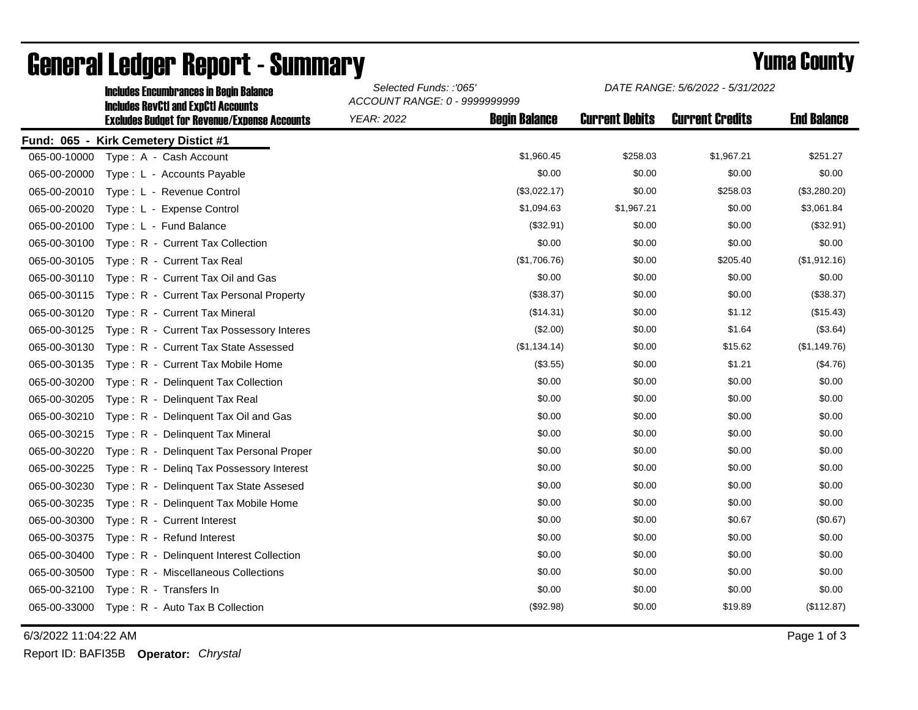|              | <b>Includes Encumbrances in Begin Balance</b><br><b>Includes RevCtI and ExpCtI Accounts</b> | Selected Funds: :'065'<br>ACCOUNT RANGE: 0 - 9999999999 |                      | DATE RANGE: 5/6/2022 - 5/31/2022 |                        |                    |
|--------------|---------------------------------------------------------------------------------------------|---------------------------------------------------------|----------------------|----------------------------------|------------------------|--------------------|
|              | <b>Excludes Budget for Revenue/Expense Accounts</b>                                         | <b>YEAR: 2022</b>                                       | <b>Begin Balance</b> | <b>Current Debits</b>            | <b>Current Credits</b> | <b>End Balance</b> |
|              | Fund: 065 - Kirk Cemetery Distict #1                                                        |                                                         |                      |                                  |                        |                    |
| 065-00-10000 | Type: A - Cash Account                                                                      |                                                         | \$1,960.45           | \$258.03                         | \$1,967.21             | \$251.27           |
| 065-00-20000 | Type: L - Accounts Payable                                                                  |                                                         | \$0.00               | \$0.00                           | \$0.00                 | \$0.00             |
| 065-00-20010 | Type: L - Revenue Control                                                                   |                                                         | (\$3,022.17)         | \$0.00                           | \$258.03               | (\$3,280.20)       |
| 065-00-20020 | Type: L - Expense Control                                                                   |                                                         | \$1,094.63           | \$1,967.21                       | \$0.00                 | \$3,061.84         |
| 065-00-20100 | Type: L - Fund Balance                                                                      |                                                         | (\$32.91)            | \$0.00                           | \$0.00                 | (\$32.91)          |
| 065-00-30100 | Type: R - Current Tax Collection                                                            |                                                         | \$0.00               | \$0.00                           | \$0.00                 | \$0.00             |
| 065-00-30105 | Type: R - Current Tax Real                                                                  |                                                         | (\$1,706.76)         | \$0.00                           | \$205.40               | (\$1,912.16)       |
| 065-00-30110 | Type: R - Current Tax Oil and Gas                                                           |                                                         | \$0.00               | \$0.00                           | \$0.00                 | \$0.00             |
| 065-00-30115 | Type: R - Current Tax Personal Property                                                     |                                                         | (\$38.37)            | \$0.00                           | \$0.00                 | (\$38.37)          |
| 065-00-30120 | Type: R - Current Tax Mineral                                                               |                                                         | (\$14.31)            | \$0.00                           | \$1.12                 | (\$15.43)          |
| 065-00-30125 | Type: R - Current Tax Possessory Interes                                                    |                                                         | (\$2.00)             | \$0.00                           | \$1.64                 | (\$3.64)           |
| 065-00-30130 | Type: R - Current Tax State Assessed                                                        |                                                         | (\$1,134.14)         | \$0.00                           | \$15.62                | (\$1,149.76)       |
| 065-00-30135 | Type: R - Current Tax Mobile Home                                                           |                                                         | (\$3.55)             | \$0.00                           | \$1.21                 | (\$4.76)           |
| 065-00-30200 | Type: R - Delinguent Tax Collection                                                         |                                                         | \$0.00               | \$0.00                           | \$0.00                 | \$0.00             |
| 065-00-30205 | Type: R - Delinquent Tax Real                                                               |                                                         | \$0.00               | \$0.00                           | \$0.00                 | \$0.00             |
| 065-00-30210 | Type: R - Delinquent Tax Oil and Gas                                                        |                                                         | \$0.00               | \$0.00                           | \$0.00                 | \$0.00             |
| 065-00-30215 | Type: R - Delinquent Tax Mineral                                                            |                                                         | \$0.00               | \$0.00                           | \$0.00                 | \$0.00             |
| 065-00-30220 | Type: R - Delinguent Tax Personal Proper                                                    |                                                         | \$0.00               | \$0.00                           | \$0.00                 | \$0.00             |
| 065-00-30225 | Type: R - Deling Tax Possessory Interest                                                    |                                                         | \$0.00               | \$0.00                           | \$0.00                 | \$0.00             |
| 065-00-30230 | Type: R - Delinquent Tax State Assesed                                                      |                                                         | \$0.00               | \$0.00                           | \$0.00                 | \$0.00             |
| 065-00-30235 | Type: R - Delinquent Tax Mobile Home                                                        |                                                         | \$0.00               | \$0.00                           | \$0.00                 | \$0.00             |
| 065-00-30300 | Type: R - Current Interest                                                                  |                                                         | \$0.00               | \$0.00                           | \$0.67                 | (\$0.67)           |
| 065-00-30375 | Type: R - Refund Interest                                                                   |                                                         | \$0.00               | \$0.00                           | \$0.00                 | \$0.00             |
| 065-00-30400 | Type: R - Delinquent Interest Collection                                                    |                                                         | \$0.00               | \$0.00                           | \$0.00                 | \$0.00             |
| 065-00-30500 | Type: R - Miscellaneous Collections                                                         |                                                         | \$0.00               | \$0.00                           | \$0.00                 | \$0.00             |
| 065-00-32100 | Type: R - Transfers In                                                                      |                                                         | \$0.00               | \$0.00                           | \$0.00                 | \$0.00             |
| 065-00-33000 | Type: R - Auto Tax B Collection                                                             |                                                         | (\$92.98)            | \$0.00                           | \$19.89                | (\$112.87)         |

## General Ledger Report - Summary **Example 2018** Yuma County

6/3/2022 11:04:22 AM Page 1 of 3

Report ID: BAFI35B **Operator:** *Chrystal*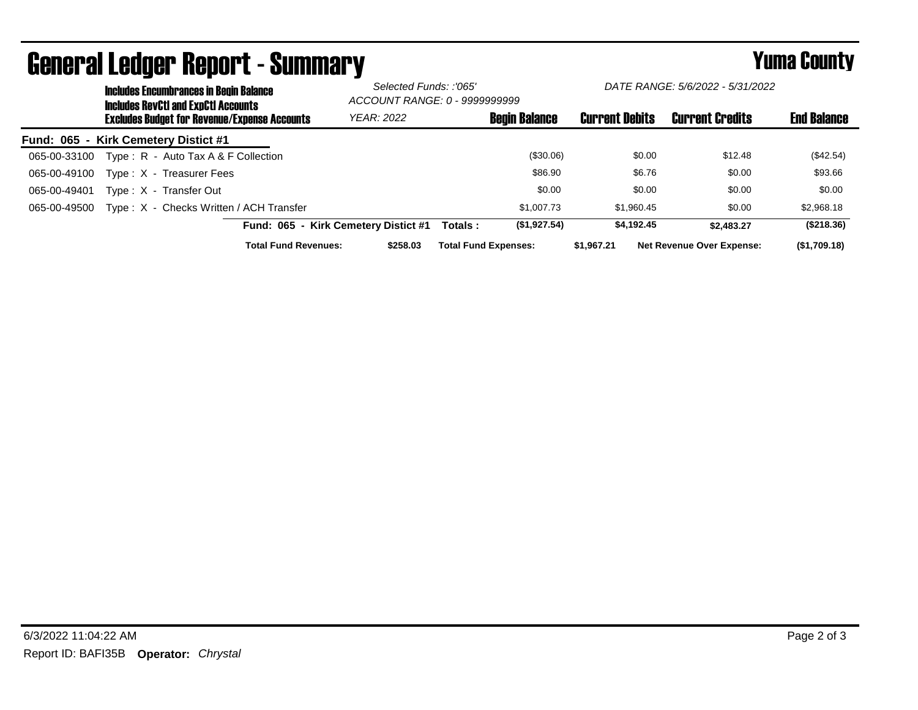|                                      | <b>Includes Encumbrances in Begin Balance</b><br><b>Includes RevCtI and ExpCtI Accounts</b><br><b>Excludes Budget for Revenue/Expense Accounts</b> |                                         |                                      | Selected Funds: :'065'<br>ACCOUNT RANGE: 0 - 9999999999 |                             | DATE RANGE: 5/6/2022 - 5/31/2022 |                       |                                  |                    |
|--------------------------------------|----------------------------------------------------------------------------------------------------------------------------------------------------|-----------------------------------------|--------------------------------------|---------------------------------------------------------|-----------------------------|----------------------------------|-----------------------|----------------------------------|--------------------|
|                                      |                                                                                                                                                    |                                         |                                      | <b>YEAR: 2022</b>                                       |                             | <b>Begin Balance</b>             | <b>Current Debits</b> | <b>Current Credits</b>           | <b>End Balance</b> |
| Fund: 065 - Kirk Cemetery Distict #1 |                                                                                                                                                    |                                         |                                      |                                                         |                             |                                  |                       |                                  |                    |
| 065-00-33100                         |                                                                                                                                                    | Type: R - Auto Tax A & F Collection     |                                      |                                                         |                             | (\$30.06)                        | \$0.00                | \$12.48                          | (\$42.54)          |
| 065-00-49100                         |                                                                                                                                                    | Type: X - Treasurer Fees                |                                      |                                                         |                             | \$86.90                          | \$6.76                | \$0.00                           | \$93.66            |
| 065-00-49401                         |                                                                                                                                                    | Type: X - Transfer Out                  |                                      |                                                         |                             | \$0.00                           | \$0.00                | \$0.00                           | \$0.00             |
| 065-00-49500                         |                                                                                                                                                    | Type: X - Checks Written / ACH Transfer |                                      |                                                         |                             | \$1,007.73                       | \$1.960.45            | \$0.00                           | \$2,968.18         |
|                                      |                                                                                                                                                    |                                         | Fund: 065 - Kirk Cemetery Distict #1 |                                                         | Totals :                    | (\$1,927.54)                     | \$4.192.45            | \$2,483,27                       | (\$218.36)         |
|                                      |                                                                                                                                                    |                                         | <b>Total Fund Revenues:</b>          | \$258.03                                                | <b>Total Fund Expenses:</b> |                                  | \$1.967.21            | <b>Net Revenue Over Expense:</b> | (\$1,709.18)       |

## General Ledger Report - Summary **Example 2018** Yuma County